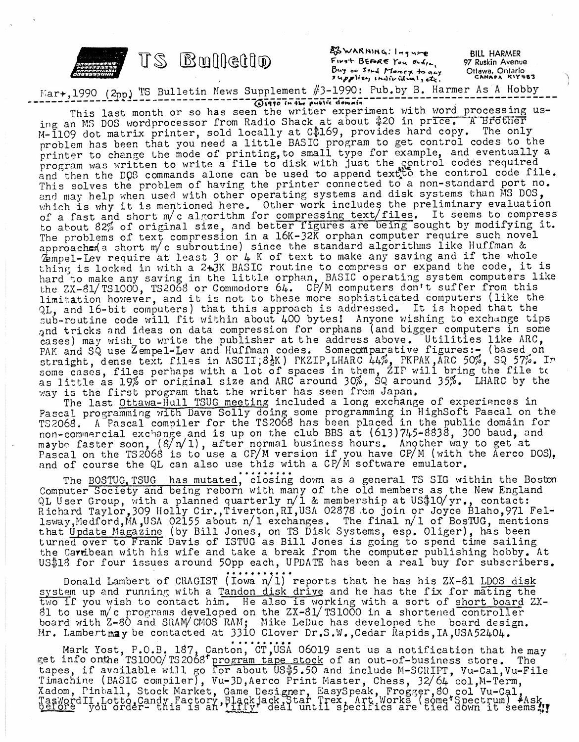

or Sind Monex to any  $[!n]$ ic id val, etc.

BILL HARMER 97 Ruskin Avenue Ottawa, Ontario<br>CANAPA KIY483

Mar+,1990 (2pp) TS Bulletin News Supplement #3-1990: Pub.by B. Harmer As A Hobby  $\overline{O}$ 1990 In the public domain

This last month or so has seen the writer experiment with word processing us-This last month or so has seen the writer experiment with word processing<br>ing an MS DOS wordprocessor from Radio Shack at about \$20 in price. A Brother Ing an MS DOS Wordprocessor from Radio Shack at about  $\frac{1}{2}$  or in price. In Brocher problem has been that you need a little BASIC program to get control codes to the printer to change the mode of printing,to small type for example, and eventually a printer to change the mode of printing, to small type for example, and eventually<br>program was written to write a file to disk with just the control codes required program was written to write a lile to disk with just the gontrol codes required<br>and then the DOG commands alone can be used to append textto the control code file. and then the bos commands alone can be used to append text, to one contribilities increment to. and may help when used with other operating systems and disk systems than MS DOS, which is why it is mentioned here. Other work includes the preliminary evaluation of a fast and short m/c algorithm for compressing text/files. It seems to compress to about 82% of original size, and better figures are being sought by modifying it. The problems of text compression in a 16K-32K orphan computer require such novel approaches(a short m/c subroutine) since the standard algorithms like Huffman & approaches a short m/c subroutine) since the standard aigorithms like huilman &<br>Zempel-Lev require at least 3 or 4 K of text to make any saving and if the whole Zempel-Lev require at least 3 or 4 K of text to make any saving and if the whole<br>thing is locked in with a 2+3K BASIC routine to compress or expand the code, it is thing is locked in with a 243K BASIC routine to compress or expand the code, it is<br>hard to make any saving in the little orphan, BASIC operating system computers like hard to make any saving in the fittie of phair, basic operating system compacts from limitation however, and it is not to these more sophisticated computers (like the QL, and l6-bit computers) that this approach is addressed. It is hoped that the sub-routine code will fit within about <sup>400</sup> bytesi Anyone wishing to exchange tips and tricks and ideas on data compression for orphans (and bigger computers in some and tricks and ideas on data compression for orphans (and orger computers in some<br>cases) may wish to write the publisher at the address above. Utilities like ARC, eases, may wish to write the publisher at the address above. Sollittles like me, thm for compressing text/files. It seems to compress<br>and better figures are being sought by modifying it.<br>on in a l6K-32K orphan computer require such novel<br>ne) since the standard algorithms like Huffman &<br>or 4 K of text ing the file tc 55%. LHARC by the traight, dense text files in ASCII,8\M PKZIP,LHARC 44%, PKPAK, ARC oraignt, dense text files in Aboli, oak, hair, make 44%, in an, and some cases, filles perhaps with a for of spaces in them,  $211$  will be as  $19\%$  or original size and ARC around  $30\%$ , SQ around  $35\%$ as little as 19% or original size and ARC around 50%, 50 arou<br>way is the first program that the writer has seen from Japan.

The last Ottawa-Hull TSUG meeting included a long exchange of experiences in Pascal programming with Dave Solly doing some programming in HighSoft Pascal on the T3206S. <sup>A</sup> Pascal compiler for the TS2068 has been placed in the public domain for non-commercial exchange and is up on the club BBS at (613)745-8838, 300 baud, and mon-commercial exchange and is up on the crub mbs at  $(01)/745-0050$ , 500 badd, and  $\frac{1}{2}$ maybe faster soon, (8/h/1), after hormal business hours. Another way to get at<br>Pascal on the TS2068 is to use a CP/M version if you have CP/M (with the Aerco DOS), rascal on the is 2006 is to use a crym version if you have crym (with a depth) and of course the QL can also use this with a CP/M software emulator.

The BOSTUG, TSUG has mutated, closing down as a general TS SIG within the Boston Computer Society and being reborn with many of the old members as the New England QL User Group, with a planned quarterly n/l & membership at US\$10/yr., contact: Richard Taylor, 309 Holly Cir., Tiverton, RI, USA 02878 to join or Joyce Blaho, 971 Felrichard laylor, 509 holly cir., liver con, hi, con ozo/o too join of soyce biano, 9/1 religious, and it is a s that Update Magazine (by Bill Jones, on TS Disk Systems, esp, Oliger), has been turned over to Frank Davis of ISTUG as Bill Jones is going to spend time sailing the Carribean with his wife and take a break from the computer publishing hobby. At US\$18 for four issues around 50pp each, UPDATE has been a real buy for subscribers.

Donald Lambert of CRAGIST (Iowa  $n/1$ ) reports that he has his ZX-81 LDOS disk system up and running with a Tandon disk drive and he has the fix for mating the two if you wish to contact him. He also is working with a sort of short board ZX-81 to use m/c programs developed on the ZX-81/TS1000 in a shortened controller board with Z-80 and SRAM/CMOS RAM; Mike LeDuc has developed the board design. Mr. Lambert may be contacted at 3310 Clover Dr.S.W., Cedar Rapids, IA, USA52404.

Mark Yost, P.O.B, 187, Canton, CT,USA 06019 sent us a notification that he may mark fost, F.C.B. 187, Canton, CI, 03A OOO19 sent us a hotflication that he made is info onthe TS1000/TS2068' program tape stock of an out-of-business store. The et info onthe islood, is 2008 program tape stock of an out-of-business store. The<br>tapes, if available will go for about US\$5.50 and include M-SCRIPT, Vu-Cal,Vu-File Timachine (BASIC compiler), Vu-3D,Aerco Print Master, Chess, 32/64 Gol,M-Term,